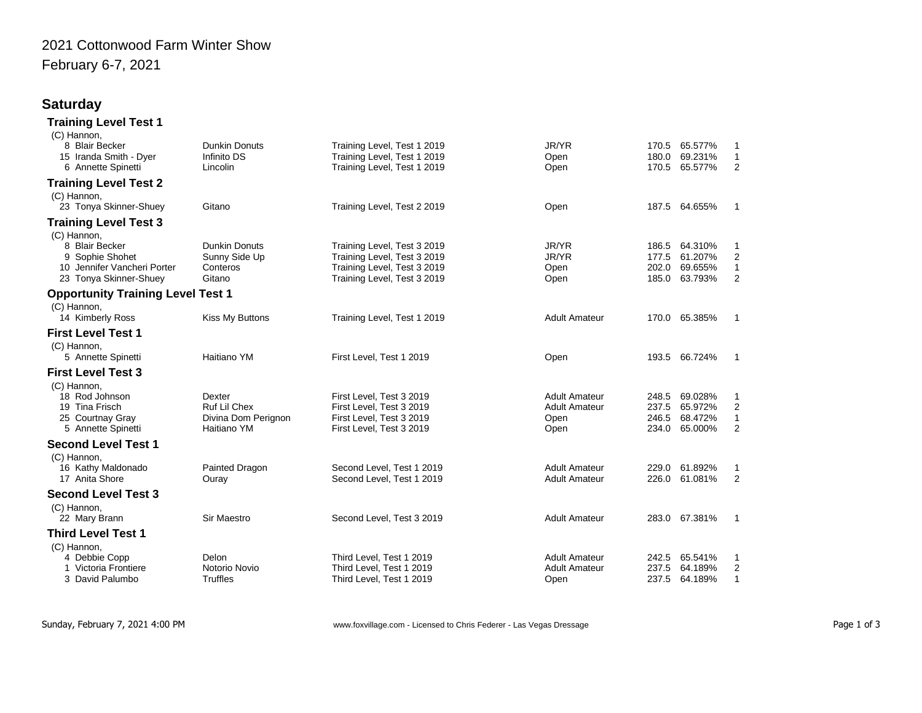## 2021 Cottonwood Farm Winter Show February 6-7, 2021

## **Saturday**

| <b>Training Level Test 1</b>             |                      |                             |                      |       |               |                  |
|------------------------------------------|----------------------|-----------------------------|----------------------|-------|---------------|------------------|
| (C) Hannon,                              |                      |                             |                      |       |               |                  |
| 8 Blair Becker                           | <b>Dunkin Donuts</b> | Training Level, Test 1 2019 | JR/YR                |       | 170.5 65.577% | 1                |
| 15 Iranda Smith - Dyer                   | Infinito DS          | Training Level, Test 1 2019 | Open                 | 180.0 | 69.231%       | $\mathbf{1}$     |
| 6 Annette Spinetti                       | Lincolin             | Training Level, Test 1 2019 | Open                 | 170.5 | 65.577%       | 2                |
| <b>Training Level Test 2</b>             |                      |                             |                      |       |               |                  |
| (C) Hannon,                              |                      |                             |                      |       |               |                  |
| 23 Tonya Skinner-Shuey                   | Gitano               | Training Level, Test 2 2019 | Open                 |       | 187.5 64.655% | 1                |
| <b>Training Level Test 3</b>             |                      |                             |                      |       |               |                  |
| (C) Hannon,                              |                      |                             |                      |       |               |                  |
| 8 Blair Becker                           | <b>Dunkin Donuts</b> | Training Level, Test 3 2019 | JR/YR                | 186.5 | 64.310%       | 1                |
| 9 Sophie Shohet                          | Sunny Side Up        | Training Level, Test 3 2019 | JR/YR                | 177.5 | 61.207%       | 2                |
| 10 Jennifer Vancheri Porter              | Conteros             | Training Level, Test 3 2019 | Open                 | 202.0 | 69.655%       | $\mathbf{1}$     |
| 23 Tonya Skinner-Shuey                   | Gitano               | Training Level, Test 3 2019 | Open                 | 185.0 | 63.793%       | 2                |
| <b>Opportunity Training Level Test 1</b> |                      |                             |                      |       |               |                  |
| (C) Hannon,                              |                      |                             |                      |       |               |                  |
| 14 Kimberly Ross                         | Kiss My Buttons      | Training Level, Test 1 2019 | <b>Adult Amateur</b> | 170.0 | 65.385%       | $\mathbf{1}$     |
| <b>First Level Test 1</b>                |                      |                             |                      |       |               |                  |
| (C) Hannon,                              |                      |                             |                      |       |               |                  |
| 5 Annette Spinetti                       | Haitiano YM          | First Level, Test 1 2019    | Open                 |       | 193.5 66.724% | $\mathbf{1}$     |
| <b>First Level Test 3</b>                |                      |                             |                      |       |               |                  |
| (C) Hannon,                              |                      |                             |                      |       |               |                  |
| 18 Rod Johnson                           | Dexter               | First Level, Test 3 2019    | <b>Adult Amateur</b> | 248.5 | 69.028%       | 1                |
| 19 Tina Frisch                           | Ruf Lil Chex         | First Level, Test 3 2019    | <b>Adult Amateur</b> | 237.5 | 65.972%       | $\boldsymbol{2}$ |
| 25 Courtnay Gray                         | Divina Dom Perignon  | First Level, Test 3 2019    | Open                 | 246.5 | 68.472%       | $\mathbf{1}$     |
| 5 Annette Spinetti                       | Haitiano YM          | First Level, Test 3 2019    | Open                 | 234.0 | 65.000%       | 2                |
| <b>Second Level Test 1</b>               |                      |                             |                      |       |               |                  |
| (C) Hannon,                              |                      |                             |                      |       |               |                  |
| 16 Kathy Maldonado                       | Painted Dragon       | Second Level, Test 1 2019   | <b>Adult Amateur</b> | 229.0 | 61.892%       | 1                |
| 17 Anita Shore                           | Ouray                | Second Level, Test 1 2019   | <b>Adult Amateur</b> | 226.0 | 61.081%       | 2                |
| <b>Second Level Test 3</b>               |                      |                             |                      |       |               |                  |
| (C) Hannon,                              |                      |                             |                      |       |               |                  |
| 22 Mary Brann                            | Sir Maestro          | Second Level, Test 3 2019   | <b>Adult Amateur</b> |       | 283.0 67.381% | $\mathbf{1}$     |
| <b>Third Level Test 1</b>                |                      |                             |                      |       |               |                  |
| (C) Hannon,                              |                      |                             |                      |       |               |                  |
| 4 Debbie Copp                            | Delon                | Third Level, Test 1 2019    | <b>Adult Amateur</b> | 242.5 | 65.541%       | 1                |
| 1 Victoria Frontiere                     | Notorio Novio        | Third Level, Test 1 2019    | <b>Adult Amateur</b> | 237.5 | 64.189%       | 2                |
| 3 David Palumbo                          | Truffles             | Third Level, Test 1 2019    | Open                 | 237.5 | 64.189%       | $\mathbf{1}$     |
|                                          |                      |                             |                      |       |               |                  |

Sunday, February 7, 2021 4:00 PM **WRED CONTAB CONTENT WWW.foxvillage.com** - Licensed to Chris Federer - Las Vegas Dressage Page 1 of 3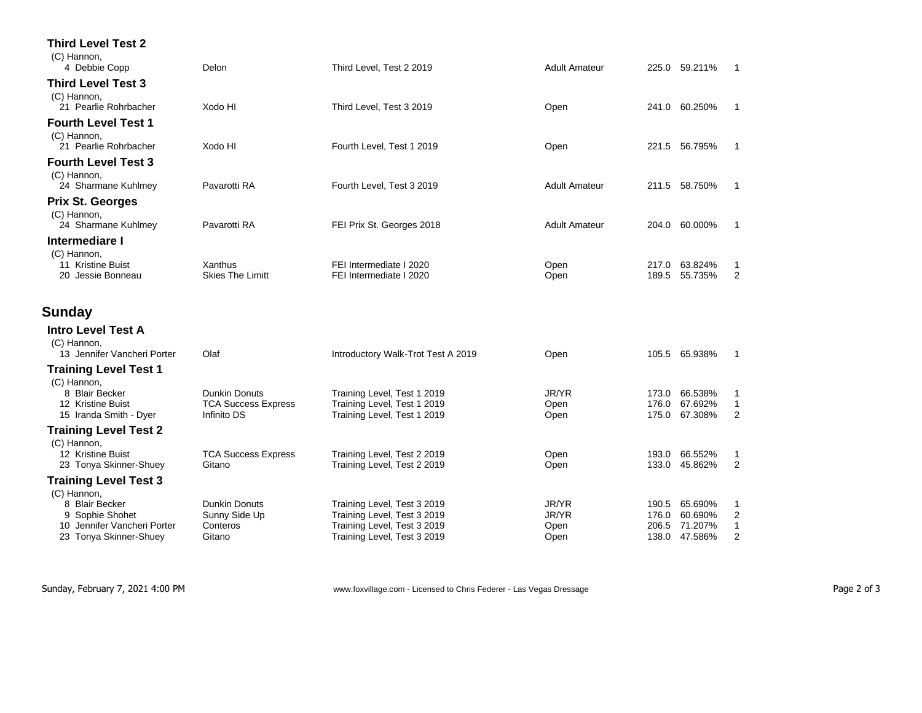| <b>Third Level Test 2</b>                      |                                           |                                                            |                      |                |                          |                                |
|------------------------------------------------|-------------------------------------------|------------------------------------------------------------|----------------------|----------------|--------------------------|--------------------------------|
| (C) Hannon,<br>4 Debbie Copp                   | Delon                                     | Third Level, Test 2 2019                                   | <b>Adult Amateur</b> |                | 225.0 59.211%            | $\mathbf 1$                    |
| <b>Third Level Test 3</b>                      |                                           |                                                            |                      |                |                          |                                |
| (C) Hannon,<br>21 Pearlie Rohrbacher           | Xodo HI                                   | Third Level, Test 3 2019                                   | Open                 |                | 241.0 60.250%            | 1                              |
| <b>Fourth Level Test 1</b>                     |                                           |                                                            |                      |                |                          |                                |
| (C) Hannon,<br>21 Pearlie Rohrbacher           | Xodo HI                                   | Fourth Level, Test 1 2019                                  | Open                 |                | 221.5 56.795%            | 1                              |
| <b>Fourth Level Test 3</b>                     |                                           |                                                            |                      |                |                          |                                |
| (C) Hannon,<br>24 Sharmane Kuhlmey             | Pavarotti RA                              | Fourth Level, Test 3 2019                                  | <b>Adult Amateur</b> |                | 211.5 58.750%            | -1                             |
| <b>Prix St. Georges</b>                        |                                           |                                                            |                      |                |                          |                                |
| (C) Hannon,<br>24 Sharmane Kuhlmey             | Pavarotti RA                              | FEI Prix St. Georges 2018                                  | <b>Adult Amateur</b> |                | 204.0 60.000%            | -1                             |
| Intermediare I                                 |                                           |                                                            |                      |                |                          |                                |
| (C) Hannon,<br>11 Kristine Buist               | Xanthus                                   | FEI Intermediate I 2020                                    | Open                 |                | 217.0 63.824%            | 1                              |
| 20 Jessie Bonneau                              | <b>Skies The Limitt</b>                   | FEI Intermediate I 2020                                    | Open                 | 189.5          | 55.735%                  | 2                              |
| Sunday                                         |                                           |                                                            |                      |                |                          |                                |
| <b>Intro Level Test A</b>                      |                                           |                                                            |                      |                |                          |                                |
| (C) Hannon,<br>13 Jennifer Vancheri Porter     | Olaf                                      | Introductory Walk-Trot Test A 2019                         | Open                 |                | 105.5 65.938%            | -1                             |
| <b>Training Level Test 1</b>                   |                                           |                                                            |                      |                |                          |                                |
| (C) Hannon,<br>8 Blair Becker                  | <b>Dunkin Donuts</b>                      | Training Level, Test 1 2019                                | JR/YR                | 173.0          | 66.538%                  | 1                              |
| 12 Kristine Buist<br>15 Iranda Smith - Dyer    | <b>TCA Success Express</b><br>Infinito DS | Training Level, Test 1 2019<br>Training Level, Test 1 2019 | Open<br>Open         | 176.0<br>175.0 | 67.692%<br>67.308%       | $\mathbf{1}$<br>$\overline{2}$ |
| <b>Training Level Test 2</b>                   |                                           |                                                            |                      |                |                          |                                |
| (C) Hannon,<br>12 Kristine Buist               | <b>TCA Success Express</b>                | Training Level, Test 2 2019                                | Open                 | 193.0          | 66.552%                  | 1                              |
| 23 Tonya Skinner-Shuey                         | Gitano                                    | Training Level, Test 2 2019                                | Open                 | 133.0          | 45.862%                  | 2                              |
| <b>Training Level Test 3</b><br>(C) Hannon,    |                                           |                                                            |                      |                |                          |                                |
| 8 Blair Becker                                 | <b>Dunkin Donuts</b>                      | Training Level, Test 3 2019                                | JR/YR                |                | 190.5 65.690%            | 1                              |
| 9 Sophie Shohet<br>10 Jennifer Vancheri Porter | Sunny Side Up<br>Conteros                 | Training Level, Test 3 2019<br>Training Level, Test 3 2019 | JR/YR<br>Open        | 176.0          | 60.690%<br>206.5 71.207% | $\overline{2}$<br>$\mathbf{1}$ |
| 23 Tonya Skinner-Shuey                         | Gitano                                    | Training Level, Test 3 2019                                | Open                 |                | 138.0 47.586%            | $\overline{2}$                 |

Sunday, February 7, 2021 4:00 PM **Page 2 of 3** www.foxvillage.com - Licensed to Chris Federer - Las Vegas Dressage